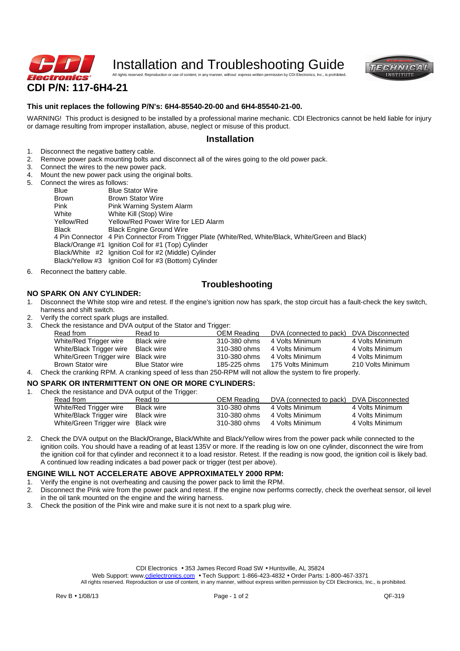

Installation and Troubleshooting Guide



**CDI P/N: 117-6H4-21** 

## **This unit replaces the following P/N's: 6H4-85540-20-00 and 6H4-85540-21-00.**

WARNING! This product is designed to be installed by a professional marine mechanic. CDI Electronics cannot be held liable for injury or damage resulting from improper installation, abuse, neglect or misuse of this product.

## **Installation**

- 1. Disconnect the negative battery cable.
- 2. Remove power pack mounting bolts and disconnect all of the wires going to the old power pack.
- 3. Connect the wires to the new power pack.
- 4. Mount the new power pack using the original bolts.<br>5. Connect the wires as follows:
- 5. Connect the wires as follows:

| Blue       | <b>Blue Stator Wire</b>                                                                            |
|------------|----------------------------------------------------------------------------------------------------|
| Brown      | <b>Brown Stator Wire</b>                                                                           |
| Pink       | Pink Warning System Alarm                                                                          |
| White      | White Kill (Stop) Wire                                                                             |
| Yellow/Red | Yellow/Red Power Wire for LED Alarm                                                                |
| Black      | <b>Black Engine Ground Wire</b>                                                                    |
|            | 4 Pin Connector 4 Pin Connector From Trigger Plate (White/Red, White/Black, White/Green and Black) |
|            | Black/Orange #1 Ignition Coil for #1 (Top) Cylinder                                                |
|            | Black/White #2 Ignition Coil for #2 (Middle) Cylinder                                              |
|            | Black/Yellow #3 Ignition Coil for #3 (Bottom) Cylinder                                             |
|            |                                                                                                    |

6. Reconnect the battery cable.

**NO SPARK ON ANY CYLINDER:** 

# **Troubleshooting**

- 1. Disconnect the White stop wire and retest. If the engine's ignition now has spark, the stop circuit has a fault-check the key switch, harness and shift switch.
- 2. Verify the correct spark plugs are installed.
- 3. Check the resistance and DVA output of the Stator and Trigger:

| Read from                | Read to                 | OEM Reading  | DVA (connected to pack) | DVA Disconnected  |  |  |  |  |
|--------------------------|-------------------------|--------------|-------------------------|-------------------|--|--|--|--|
| White/Red Trigger wire   | <b>Black wire</b>       | 310-380 ohms | 4 Volts Minimum         | 4 Volts Minimum   |  |  |  |  |
| White/Black Trigger wire | <b>Black wire</b>       | 310-380 ohms | 4 Volts Minimum         | 4 Volts Minimum   |  |  |  |  |
| White/Green Trigger wire | <b>Black wire</b>       | 310-380 ohms | 4 Volts Minimum         | 4 Volts Minimum   |  |  |  |  |
| <b>Brown Stator wire</b> | <b>Blue Stator wire</b> | 185-225 ohms | 175 Volts Minimum       | 210 Volts Minimum |  |  |  |  |
|                          |                         |              |                         |                   |  |  |  |  |

4. Check the cranking RPM. A cranking speed of less than 250-RPM will not allow the system to fire properly.

#### **NO SPARK OR INTERMITTENT ON ONE OR MORE CYLINDERS:**

1. Check the resistance and DVA output of the Trigger:

| Read from                           | Read to           | OEM Reading  | DVA (connected to pack) DVA Disconnected |                 |
|-------------------------------------|-------------------|--------------|------------------------------------------|-----------------|
| White/Red Trigger wire              | <b>Black wire</b> | 310-380 ohms | 4 Volts Minimum                          | 4 Volts Minimum |
| White/Black Trigger wire            | Black wire        | 310-380 ohms | 4 Volts Minimum                          | 4 Volts Minimum |
| White/Green Trigger wire Black wire |                   | 310-380 ohms | 4 Volts Minimum                          | 4 Volts Minimum |

2. Check the DVA output on the Black**/**Orange**,** Black/White and Black/Yellow wires from the power pack while connected to the ignition coils. You should have a reading of at least 135V or more. If the reading is low on one cylinder, disconnect the wire from the ignition coil for that cylinder and reconnect it to a load resistor. Retest. If the reading is now good, the ignition coil is likely bad. A continued low reading indicates a bad power pack or trigger (test per above).

## **ENGINE WILL NOT ACCELERATE ABOVE APPROXIMATELY 2000 RPM:**

- 1. Verify the engine is not overheating and causing the power pack to limit the RPM.
- 2. Disconnect the Pink wire from the power pack and retest. If the engine now performs correctly, check the overheat sensor, oil level in the oil tank mounted on the engine and the wiring harness.
- 3. Check the position of the Pink wire and make sure it is not next to a spark plug wire.

CDI Electronics • 353 James Record Road SW • Huntsville, AL 35824

Web Support: www.cdielectronics.com • Tech Support: 1-866-423-4832 • Order Parts: 1-800-467-3371 All rights reserved. Reproduction or use of content, in any manner, without express written permission by CDI Electronics, Inc., is prohibited.